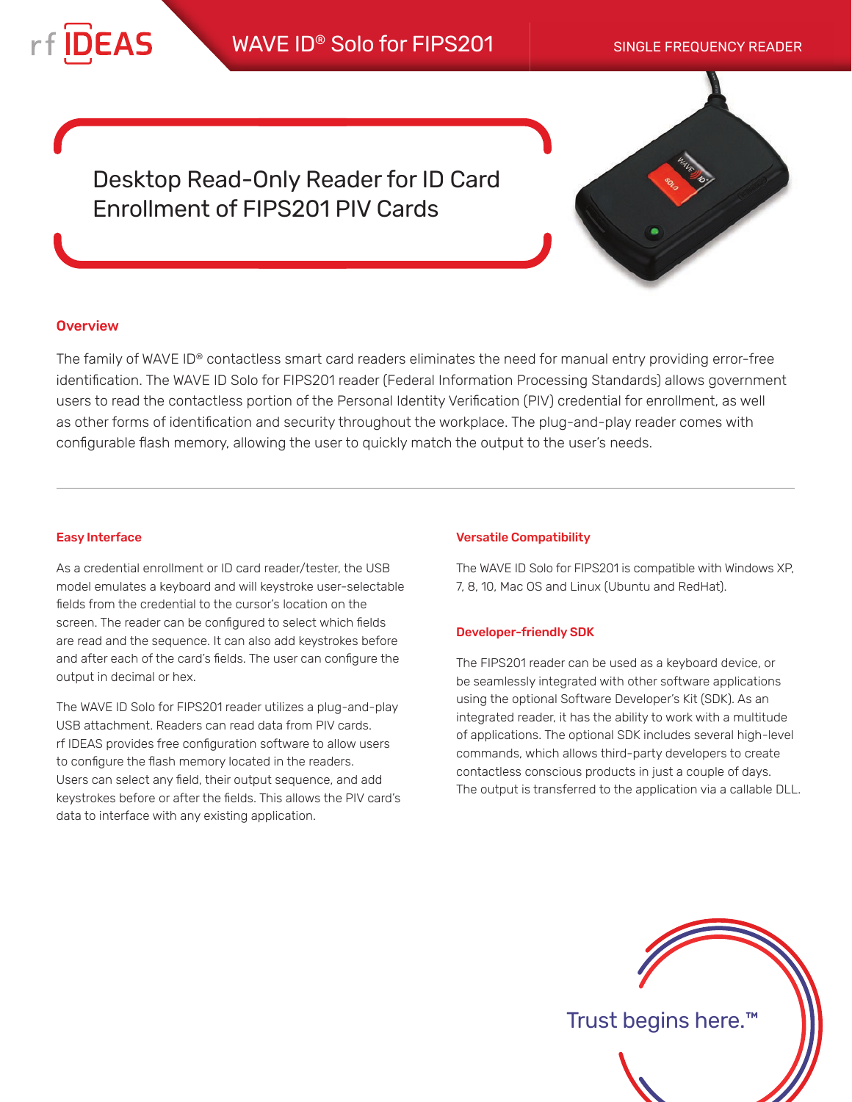

# WAVE ID<sup>®</sup> Solo for FIPS201 SINGLE FREQUENCY READER

Desktop Read-Only Reader for ID Card Enrollment of FIPS201 PIV Cards



### **Overview**

The family of WAVE ID® contactless smart card readers eliminates the need for manual entry providing error-free identification. The WAVE ID Solo for FIPS201 reader (Federal Information Processing Standards) allows government users to read the contactless portion of the Personal Identity Verification (PIV) credential for enrollment, as well as other forms of identification and security throughout the workplace. The plug-and-play reader comes with configurable flash memory, allowing the user to quickly match the output to the user's needs.

#### Easy Interface

As a credential enrollment or ID card reader/tester, the USB model emulates a keyboard and will keystroke user-selectable fields from the credential to the cursor's location on the screen. The reader can be configured to select which fields are read and the sequence. It can also add keystrokes before and after each of the card's fields. The user can configure the output in decimal or hex.

The WAVE ID Solo for FIPS201 reader utilizes a plug-and-play USB attachment. Readers can read data from PIV cards. rf IDEAS provides free configuration software to allow users to configure the flash memory located in the readers. Users can select any field, their output sequence, and add keystrokes before or after the fields. This allows the PIV card's data to interface with any existing application.

#### Versatile Compatibility

The WAVE ID Solo for FIPS201 is compatible with Windows XP, 7, 8, 10, Mac OS and Linux (Ubuntu and RedHat).

#### Developer-friendly SDK

The FIPS201 reader can be used as a keyboard device, or be seamlessly integrated with other software applications using the optional Software Developer's Kit (SDK). As an integrated reader, it has the ability to work with a multitude of applications. The optional SDK includes several high-level commands, which allows third-party developers to create contactless conscious products in just a couple of days. The output is transferred to the application via a callable DLL.



Trust begins here.™